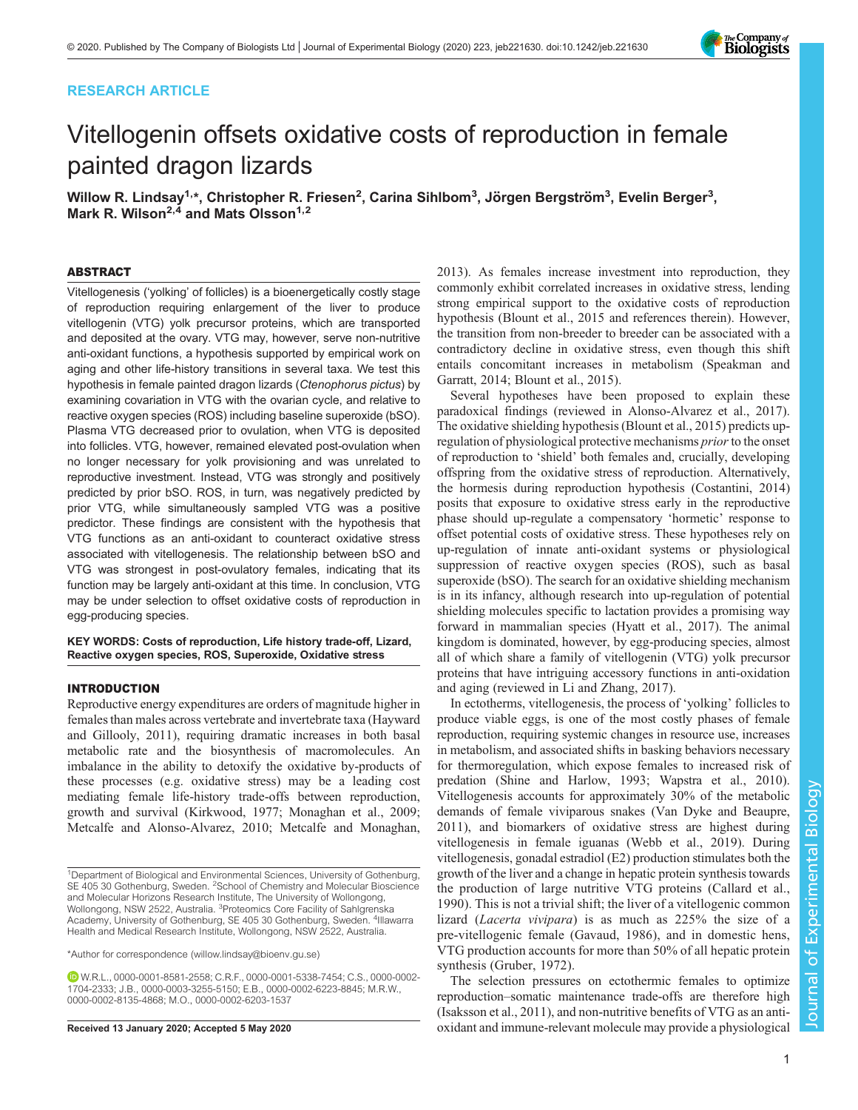# RESEARCH ARTICLE

# Vitellogenin offsets oxidative costs of reproduction in female painted dragon lizards

Willow R. Lindsay<sup>1,</sup>\*, Christopher R. Friesen<sup>2</sup>, Carina Sihlbom<sup>3</sup>, Jörgen Bergström<sup>3</sup>, Evelin Berger<sup>3</sup>, Mark R. Wilson<sup>2,4</sup> and Mats Olsson<sup>1,2</sup>

## ABSTRACT

Vitellogenesis ('yolking' of follicles) is a bioenergetically costly stage of reproduction requiring enlargement of the liver to produce vitellogenin (VTG) yolk precursor proteins, which are transported and deposited at the ovary. VTG may, however, serve non-nutritive anti-oxidant functions, a hypothesis supported by empirical work on aging and other life-history transitions in several taxa. We test this hypothesis in female painted dragon lizards (Ctenophorus pictus) by examining covariation in VTG with the ovarian cycle, and relative to reactive oxygen species (ROS) including baseline superoxide (bSO). Plasma VTG decreased prior to ovulation, when VTG is deposited into follicles. VTG, however, remained elevated post-ovulation when no longer necessary for yolk provisioning and was unrelated to reproductive investment. Instead, VTG was strongly and positively predicted by prior bSO. ROS, in turn, was negatively predicted by prior VTG, while simultaneously sampled VTG was a positive predictor. These findings are consistent with the hypothesis that VTG functions as an anti-oxidant to counteract oxidative stress associated with vitellogenesis. The relationship between bSO and VTG was strongest in post-ovulatory females, indicating that its function may be largely anti-oxidant at this time. In conclusion, VTG may be under selection to offset oxidative costs of reproduction in egg-producing species.

# KEY WORDS: Costs of reproduction, Life history trade-off, Lizard, Reactive oxygen species, ROS, Superoxide, Oxidative stress

# INTRODUCTION

Reproductive energy expenditures are orders of magnitude higher in females than males across vertebrate and invertebrate taxa ([Hayward](#page-8-0) [and Gillooly, 2011](#page-8-0)), requiring dramatic increases in both basal metabolic rate and the biosynthesis of macromolecules. An imbalance in the ability to detoxify the oxidative by-products of these processes (e.g. oxidative stress) may be a leading cost mediating female life-history trade-offs between reproduction, growth and survival ([Kirkwood, 1977](#page-8-0); [Monaghan et al., 2009](#page-9-0); [Metcalfe and Alonso-Alvarez, 2010; Metcalfe and Monaghan,](#page-9-0)

\*Author for correspondence [\(willow.lindsay@bioenv.gu.se](mailto:willow.lindsay@bioenv.gu.se))

[2013\)](#page-9-0). As females increase investment into reproduction, they commonly exhibit correlated increases in oxidative stress, lending strong empirical support to the oxidative costs of reproduction hypothesis ([Blount et al., 2015](#page-8-0) and references therein). However, the transition from non-breeder to breeder can be associated with a contradictory decline in oxidative stress, even though this shift entails concomitant increases in metabolism [\(Speakman and](#page-9-0) [Garratt, 2014](#page-9-0); [Blount et al., 2015](#page-8-0)).

Several hypotheses have been proposed to explain these paradoxical findings (reviewed in [Alonso-Alvarez et al., 2017\)](#page-8-0). The oxidative shielding hypothesis ([Blount et al., 2015](#page-8-0)) predicts upregulation of physiological protective mechanisms *prior* to the onset of reproduction to 'shield' both females and, crucially, developing offspring from the oxidative stress of reproduction. Alternatively, the hormesis during reproduction hypothesis ([Costantini, 2014\)](#page-8-0) posits that exposure to oxidative stress early in the reproductive phase should up-regulate a compensatory 'hormetic' response to offset potential costs of oxidative stress. These hypotheses rely on up-regulation of innate anti-oxidant systems or physiological suppression of reactive oxygen species (ROS), such as basal superoxide (bSO). The search for an oxidative shielding mechanism is in its infancy, although research into up-regulation of potential shielding molecules specific to lactation provides a promising way forward in mammalian species ([Hyatt et al., 2017](#page-8-0)). The animal kingdom is dominated, however, by egg-producing species, almost all of which share a family of vitellogenin (VTG) yolk precursor proteins that have intriguing accessory functions in anti-oxidation and aging (reviewed in [Li and Zhang, 2017](#page-9-0)).

In ectotherms, vitellogenesis, the process of 'yolking' follicles to produce viable eggs, is one of the most costly phases of female reproduction, requiring systemic changes in resource use, increases in metabolism, and associated shifts in basking behaviors necessary for thermoregulation, which expose females to increased risk of predation ([Shine and Harlow, 1993](#page-9-0); [Wapstra et al., 2010\)](#page-9-0). Vitellogenesis accounts for approximately 30% of the metabolic demands of female viviparous snakes [\(Van Dyke and Beaupre,](#page-9-0) [2011\)](#page-9-0), and biomarkers of oxidative stress are highest during vitellogenesis in female iguanas [\(Webb et al., 2019](#page-9-0)). During vitellogenesis, gonadal estradiol (E2) production stimulates both the growth of the liver and a change in hepatic protein synthesis towards the production of large nutritive VTG proteins ([Callard et al.,](#page-8-0) [1990](#page-8-0)). This is not a trivial shift; the liver of a vitellogenic common lizard (Lacerta vivipara) is as much as 225% the size of a pre-vitellogenic female [\(Gavaud, 1986\)](#page-8-0), and in domestic hens, VTG production accounts for more than 50% of all hepatic protein synthesis ([Gruber, 1972\)](#page-8-0).

The selection pressures on ectothermic females to optimize reproduction–somatic maintenance trade-offs are therefore high [\(Isaksson et al., 2011](#page-8-0)), and non-nutritive benefits of VTG as an anti-Received 13 January 2020; Accepted 5 May 2020 oxidant and immune-relevant molecule may provide a physiological



<sup>1</sup>Department of Biological and Environmental Sciences, University of Gothenburg, SE 405 30 Gothenburg, Sweden. <sup>2</sup>School of Chemistry and Molecular Bioscience and Molecular Horizons Research Institute, The University of Wollongong, Wollongong, NSW 2522, Australia. <sup>3</sup>Proteomics Core Facility of Sahlgrenska Academy, University of Gothenburg, SE 405 30 Gothenburg, Sweden. <sup>4</sup>Illawarra Health and Medical Research Institute, Wollongong, NSW 2522, Australia.

W.R.L., [0000-0001-8581-2558](http://orcid.org/0000-0001-8581-2558); C.R.F., [0000-0001-5338-7454;](http://orcid.org/0000-0001-5338-7454) C.S., [0000-0002-](http://orcid.org/0000-0002-1704-2333) [1704-2333](http://orcid.org/0000-0002-1704-2333); J.B., [0000-0003-3255-5150;](http://orcid.org/0000-0003-3255-5150) E.B., [0000-0002-6223-8845;](http://orcid.org/0000-0002-6223-8845) M.R.W., [0000-0002-8135-4868;](http://orcid.org/0000-0002-8135-4868) M.O., [0000-0002-6203-1537](http://orcid.org/0000-0002-6203-1537)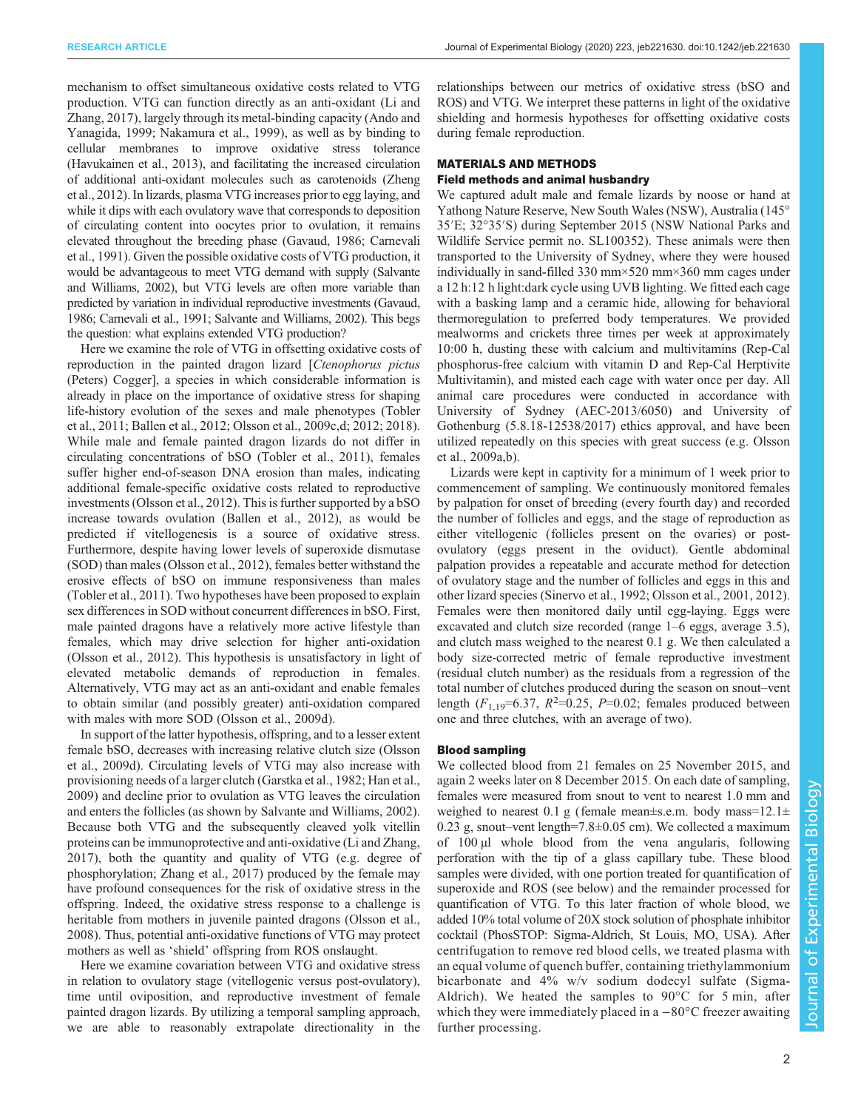mechanism to offset simultaneous oxidative costs related to VTG production. VTG can function directly as an anti-oxidant ([Li and](#page-9-0) [Zhang, 2017](#page-9-0)), largely through its metal-binding capacity [\(Ando and](#page-8-0) [Yanagida, 1999;](#page-8-0) [Nakamura et al., 1999\)](#page-9-0), as well as by binding to cellular membranes to improve oxidative stress tolerance [\(Havukainen et al., 2013\)](#page-8-0), and facilitating the increased circulation of additional anti-oxidant molecules such as carotenoids [\(Zheng](#page-9-0) [et al., 2012\)](#page-9-0). In lizards, plasma VTG increases prior to egg laying, and while it dips with each ovulatory wave that corresponds to deposition of circulating content into oocytes prior to ovulation, it remains elevated throughout the breeding phase ([Gavaud, 1986; Carnevali](#page-8-0) [et al., 1991](#page-8-0)). Given the possible oxidative costs of VTG production, it would be advantageous to meet VTG demand with supply [\(Salvante](#page-9-0) [and Williams, 2002\)](#page-9-0), but VTG levels are often more variable than predicted by variation in individual reproductive investments ([Gavaud,](#page-8-0) [1986](#page-8-0); [Carnevali et al., 1991](#page-8-0); [Salvante and Williams, 2002](#page-9-0)). This begs the question: what explains extended VTG production?

Here we examine the role of VTG in offsetting oxidative costs of reproduction in the painted dragon lizard [Ctenophorus pictus (Peters) Cogger], a species in which considerable information is already in place on the importance of oxidative stress for shaping life-history evolution of the sexes and male phenotypes [\(Tobler](#page-9-0) [et al., 2011](#page-9-0); [Ballen et al., 2012;](#page-8-0) [Olsson et al., 2009c,d; 2012; 2018\)](#page-9-0). While male and female painted dragon lizards do not differ in circulating concentrations of bSO ([Tobler et al., 2011](#page-9-0)), females suffer higher end-of-season DNA erosion than males, indicating additional female-specific oxidative costs related to reproductive investments [\(Olsson et al., 2012](#page-9-0)). This is further supported by a bSO increase towards ovulation ([Ballen et al., 2012\)](#page-8-0), as would be predicted if vitellogenesis is a source of oxidative stress. Furthermore, despite having lower levels of superoxide dismutase (SOD) than males ([Olsson et al., 2012\)](#page-9-0), females better withstand the erosive effects of bSO on immune responsiveness than males [\(Tobler et al., 2011](#page-9-0)). Two hypotheses have been proposed to explain sex differences in SOD without concurrent differences in bSO. First, male painted dragons have a relatively more active lifestyle than females, which may drive selection for higher anti-oxidation [\(Olsson et al., 2012](#page-9-0)). This hypothesis is unsatisfactory in light of elevated metabolic demands of reproduction in females. Alternatively, VTG may act as an anti-oxidant and enable females to obtain similar (and possibly greater) anti-oxidation compared with males with more SOD ([Olsson et al., 2009d](#page-9-0)).

In support of the latter hypothesis, offspring, and to a lesser extent female bSO, decreases with increasing relative clutch size ([Olsson](#page-9-0) [et al., 2009d](#page-9-0)). Circulating levels of VTG may also increase with provisioning needs of a larger clutch ([Garstka et al., 1982](#page-8-0); [Han et al.,](#page-8-0) [2009](#page-8-0)) and decline prior to ovulation as VTG leaves the circulation and enters the follicles (as shown by [Salvante and Williams, 2002\)](#page-9-0). Because both VTG and the subsequently cleaved yolk vitellin proteins can be immunoprotective and anti-oxidative ([Li and Zhang,](#page-9-0) [2017](#page-9-0)), both the quantity and quality of VTG (e.g. degree of phosphorylation; [Zhang et al., 2017\)](#page-9-0) produced by the female may have profound consequences for the risk of oxidative stress in the offspring. Indeed, the oxidative stress response to a challenge is heritable from mothers in juvenile painted dragons [\(Olsson et al.,](#page-9-0) [2008](#page-9-0)). Thus, potential anti-oxidative functions of VTG may protect mothers as well as 'shield' offspring from ROS onslaught.

Here we examine covariation between VTG and oxidative stress in relation to ovulatory stage (vitellogenic versus post-ovulatory), time until oviposition, and reproductive investment of female painted dragon lizards. By utilizing a temporal sampling approach, we are able to reasonably extrapolate directionality in the relationships between our metrics of oxidative stress (bSO and ROS) and VTG. We interpret these patterns in light of the oxidative shielding and hormesis hypotheses for offsetting oxidative costs during female reproduction.

# MATERIALS AND METHODS

# Field methods and animal husbandry

We captured adult male and female lizards by noose or hand at Yathong Nature Reserve, New South Wales (NSW), Australia (145° 35′E; 32°35′S) during September 2015 (NSW National Parks and Wildlife Service permit no. SL100352). These animals were then transported to the University of Sydney, where they were housed individually in sand-filled 330 mm×520 mm×360 mm cages under a 12 h:12 h light:dark cycle using UVB lighting. We fitted each cage with a basking lamp and a ceramic hide, allowing for behavioral thermoregulation to preferred body temperatures. We provided mealworms and crickets three times per week at approximately 10:00 h, dusting these with calcium and multivitamins (Rep-Cal phosphorus-free calcium with vitamin D and Rep-Cal Herptivite Multivitamin), and misted each cage with water once per day. All animal care procedures were conducted in accordance with University of Sydney (AEC-2013/6050) and University of Gothenburg (5.8.18-12538/2017) ethics approval, and have been utilized repeatedly on this species with great success (e.g. [Olsson](#page-9-0) [et al., 2009a,b\)](#page-9-0).

Lizards were kept in captivity for a minimum of 1 week prior to commencement of sampling. We continuously monitored females by palpation for onset of breeding (every fourth day) and recorded the number of follicles and eggs, and the stage of reproduction as either vitellogenic (follicles present on the ovaries) or postovulatory (eggs present in the oviduct). Gentle abdominal palpation provides a repeatable and accurate method for detection of ovulatory stage and the number of follicles and eggs in this and other lizard species ([Sinervo et al., 1992](#page-9-0); [Olsson et al., 2001, 2012\)](#page-9-0). Females were then monitored daily until egg-laying. Eggs were excavated and clutch size recorded (range 1–6 eggs, average 3.5), and clutch mass weighed to the nearest 0.1 g. We then calculated a body size-corrected metric of female reproductive investment (residual clutch number) as the residuals from a regression of the total number of clutches produced during the season on snout–vent length  $(F_{1,19} = 6.37, R^2 = 0.25, P = 0.02$ ; females produced between one and three clutches, with an average of two).

# Blood sampling

We collected blood from 21 females on 25 November 2015, and again 2 weeks later on 8 December 2015. On each date of sampling, females were measured from snout to vent to nearest 1.0 mm and weighed to nearest 0.1 g (female mean $\pm$ s.e.m. body mass=12.1 $\pm$ 0.23 g, snout–vent length=7.8±0.05 cm). We collected a maximum of 100 µl whole blood from the vena angularis, following perforation with the tip of a glass capillary tube. These blood samples were divided, with one portion treated for quantification of superoxide and ROS (see below) and the remainder processed for quantification of VTG. To this later fraction of whole blood, we added 10% total volume of 20X stock solution of phosphate inhibitor cocktail (PhosSTOP: Sigma-Aldrich, St Louis, MO, USA). After centrifugation to remove red blood cells, we treated plasma with an equal volume of quench buffer, containing triethylammonium bicarbonate and 4% w/v sodium dodecyl sulfate (Sigma-Aldrich). We heated the samples to 90°C for 5 min, after which they were immediately placed in a −80°C freezer awaiting further processing.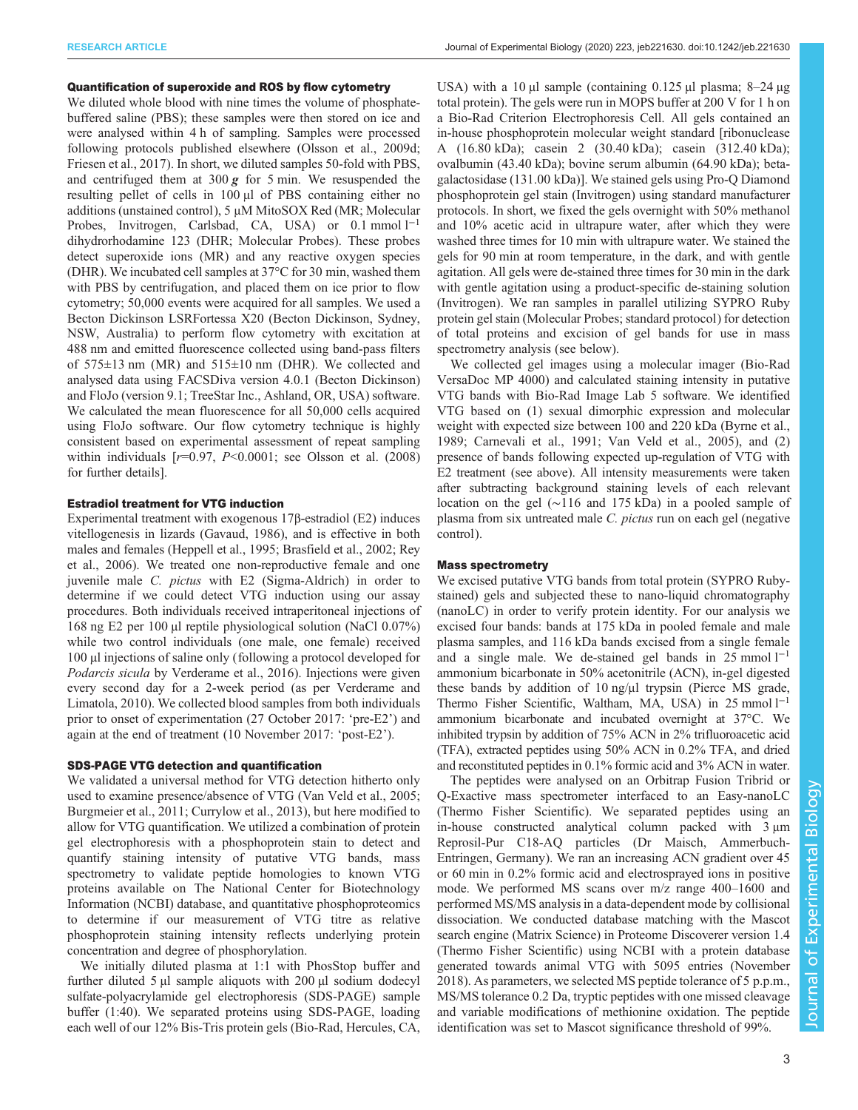## Quantification of superoxide and ROS by flow cytometry

We diluted whole blood with nine times the volume of phosphatebuffered saline (PBS); these samples were then stored on ice and were analysed within 4 h of sampling. Samples were processed following protocols published elsewhere [\(Olsson et al., 2009d](#page-9-0); [Friesen et al., 2017\)](#page-8-0). In short, we diluted samples 50-fold with PBS, and centrifuged them at 300  $g$  for 5 min. We resuspended the resulting pellet of cells in 100 μl of PBS containing either no additions (unstained control), 5 μM MitoSOX Red (MR; Molecular Probes, Invitrogen, Carlsbad, CA, USA) or  $0.1 \text{ mmol } 1^{-1}$ dihydrorhodamine 123 (DHR; Molecular Probes). These probes detect superoxide ions (MR) and any reactive oxygen species (DHR). We incubated cell samples at 37°C for 30 min, washed them with PBS by centrifugation, and placed them on ice prior to flow cytometry; 50,000 events were acquired for all samples. We used a Becton Dickinson LSRFortessa X20 (Becton Dickinson, Sydney, NSW, Australia) to perform flow cytometry with excitation at 488 nm and emitted fluorescence collected using band-pass filters of  $575\pm13$  nm (MR) and  $515\pm10$  nm (DHR). We collected and analysed data using FACSDiva version 4.0.1 (Becton Dickinson) and FloJo (version 9.1; TreeStar Inc., Ashland, OR, USA) software. We calculated the mean fluorescence for all 50,000 cells acquired using FloJo software. Our flow cytometry technique is highly consistent based on experimental assessment of repeat sampling within individuals  $[r=0.97, P<0.0001;$  see [Olsson et al. \(2008\)](#page-9-0) for further details].

## Estradiol treatment for VTG induction

Experimental treatment with exogenous 17β-estradiol (E2) induces vitellogenesis in lizards ([Gavaud, 1986](#page-8-0)), and is effective in both males and females ([Heppell et al., 1995; Brasfield et al., 2002](#page-8-0); [Rey](#page-9-0) [et al., 2006](#page-9-0)). We treated one non-reproductive female and one juvenile male C. pictus with E2 (Sigma-Aldrich) in order to determine if we could detect VTG induction using our assay procedures. Both individuals received intraperitoneal injections of 168 ng E2 per 100 µl reptile physiological solution (NaCl 0.07%) while two control individuals (one male, one female) received 100 µl injections of saline only (following a protocol developed for Podarcis sicula by [Verderame et al., 2016\)](#page-9-0). Injections were given every second day for a 2-week period (as per [Verderame and](#page-9-0) [Limatola, 2010](#page-9-0)). We collected blood samples from both individuals prior to onset of experimentation (27 October 2017: 'pre-E2') and again at the end of treatment (10 November 2017: 'post-E2').

### SDS-PAGE VTG detection and quantification

We validated a universal method for VTG detection hitherto only used to examine presence/absence of VTG ([Van Veld et al., 2005](#page-9-0); [Burgmeier et al., 2011; Currylow et al., 2013](#page-8-0)), but here modified to allow for VTG quantification. We utilized a combination of protein gel electrophoresis with a phosphoprotein stain to detect and quantify staining intensity of putative VTG bands, mass spectrometry to validate peptide homologies to known VTG proteins available on The National Center for Biotechnology Information (NCBI) database, and quantitative phosphoproteomics to determine if our measurement of VTG titre as relative phosphoprotein staining intensity reflects underlying protein concentration and degree of phosphorylation.

We initially diluted plasma at 1:1 with PhosStop buffer and further diluted 5 µl sample aliquots with 200 µl sodium dodecyl sulfate-polyacrylamide gel electrophoresis (SDS-PAGE) sample buffer (1:40). We separated proteins using SDS-PAGE, loading each well of our 12% Bis-Tris protein gels (Bio-Rad, Hercules, CA,

USA) with a 10  $\mu$ l sample (containing 0.125  $\mu$ l plasma; 8–24  $\mu$ g total protein). The gels were run in MOPS buffer at 200 V for 1 h on a Bio-Rad Criterion Electrophoresis Cell. All gels contained an in-house phosphoprotein molecular weight standard [ribonuclease A (16.80 kDa); casein 2 (30.40 kDa); casein (312.40 kDa); ovalbumin (43.40 kDa); bovine serum albumin (64.90 kDa); betagalactosidase (131.00 kDa)]. We stained gels using Pro-Q Diamond phosphoprotein gel stain (Invitrogen) using standard manufacturer protocols. In short, we fixed the gels overnight with 50% methanol and 10% acetic acid in ultrapure water, after which they were washed three times for 10 min with ultrapure water. We stained the gels for 90 min at room temperature, in the dark, and with gentle agitation. All gels were de-stained three times for 30 min in the dark with gentle agitation using a product-specific de-staining solution (Invitrogen). We ran samples in parallel utilizing SYPRO Ruby protein gel stain (Molecular Probes; standard protocol) for detection of total proteins and excision of gel bands for use in mass spectrometry analysis (see below).

We collected gel images using a molecular imager (Bio-Rad VersaDoc MP 4000) and calculated staining intensity in putative VTG bands with Bio-Rad Image Lab 5 software. We identified VTG based on (1) sexual dimorphic expression and molecular weight with expected size between 100 and 220 kDa [\(Byrne et al.,](#page-8-0) [1989; Carnevali et al., 1991;](#page-8-0) [Van Veld et al., 2005](#page-9-0)), and (2) presence of bands following expected up-regulation of VTG with E2 treatment (see above). All intensity measurements were taken after subtracting background staining levels of each relevant location on the gel (∼116 and 175 kDa) in a pooled sample of plasma from six untreated male C. pictus run on each gel (negative control).

# Mass spectrometry

We excised putative VTG bands from total protein (SYPRO Rubystained) gels and subjected these to nano-liquid chromatography (nanoLC) in order to verify protein identity. For our analysis we excised four bands: bands at 175 kDa in pooled female and male plasma samples, and 116 kDa bands excised from a single female and a single male. We de-stained gel bands in  $25 \text{ mmol } 1^{-1}$ ammonium bicarbonate in 50% acetonitrile (ACN), in-gel digested these bands by addition of 10 ng/μl trypsin (Pierce MS grade, Thermo Fisher Scientific, Waltham, MA, USA) in 25 mmol l<sup>-1</sup> ammonium bicarbonate and incubated overnight at 37°C. We inhibited trypsin by addition of 75% ACN in 2% trifluoroacetic acid (TFA), extracted peptides using 50% ACN in 0.2% TFA, and dried and reconstituted peptides in 0.1% formic acid and 3% ACN in water.

The peptides were analysed on an Orbitrap Fusion Tribrid or Q-Exactive mass spectrometer interfaced to an Easy-nanoLC (Thermo Fisher Scientific). We separated peptides using an in-house constructed analytical column packed with 3 μm Reprosil-Pur C18-AQ particles (Dr Maisch, Ammerbuch-Entringen, Germany). We ran an increasing ACN gradient over 45 or 60 min in 0.2% formic acid and electrosprayed ions in positive mode. We performed MS scans over m/z range 400–1600 and performed MS/MS analysis in a data-dependent mode by collisional dissociation. We conducted database matching with the Mascot search engine (Matrix Science) in Proteome Discoverer version 1.4 (Thermo Fisher Scientific) using NCBI with a protein database generated towards animal VTG with 5095 entries (November 2018). As parameters, we selected MS peptide tolerance of 5 p.p.m., MS/MS tolerance 0.2 Da, tryptic peptides with one missed cleavage and variable modifications of methionine oxidation. The peptide identification was set to Mascot significance threshold of 99%.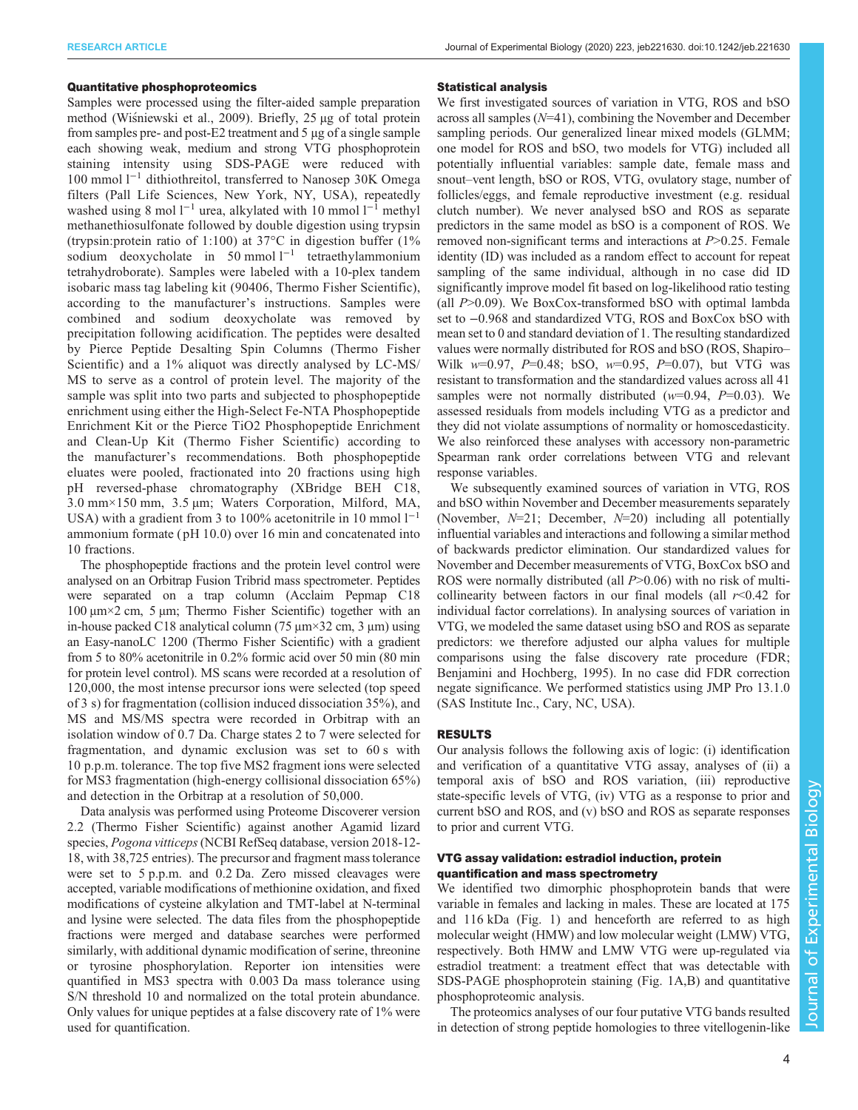## Quantitative phosphoproteomics

Samples were processed using the filter-aided sample preparation method [\(Wi](#page-9-0)s[niewski et al., 2009](#page-9-0)). Briefly, 25 µg of total protein from samples pre- and post-E2 treatment and 5 µg of a single sample each showing weak, medium and strong VTG phosphoprotein staining intensity using SDS-PAGE were reduced with 100 mmol l−<sup>1</sup> dithiothreitol, transferred to Nanosep 30K Omega filters (Pall Life Sciences, New York, NY, USA), repeatedly washed using 8 mol  $l^{-1}$  urea, alkylated with 10 mmol  $l^{-1}$  methyl methanethiosulfonate followed by double digestion using trypsin (trypsin:protein ratio of 1:100) at 37°C in digestion buffer (1% sodium deoxycholate in 50 mmol l−<sup>1</sup> tetraethylammonium tetrahydroborate). Samples were labeled with a 10-plex tandem isobaric mass tag labeling kit (90406, Thermo Fisher Scientific), according to the manufacturer's instructions. Samples were combined and sodium deoxycholate was removed by precipitation following acidification. The peptides were desalted by Pierce Peptide Desalting Spin Columns (Thermo Fisher Scientific) and a 1% aliquot was directly analysed by LC-MS/ MS to serve as a control of protein level. The majority of the sample was split into two parts and subjected to phosphopeptide enrichment using either the High-Select Fe-NTA Phosphopeptide Enrichment Kit or the Pierce TiO2 Phosphopeptide Enrichment and Clean-Up Kit (Thermo Fisher Scientific) according to the manufacturer's recommendations. Both phosphopeptide eluates were pooled, fractionated into 20 fractions using high pH reversed-phase chromatography (XBridge BEH C18, 3.0 mm×150 mm, 3.5 µm; Waters Corporation, Milford, MA, USA) with a gradient from 3 to 100% acetonitrile in 10 mmol  $1^{-1}$ ammonium formate ( pH 10.0) over 16 min and concatenated into 10 fractions.

The phosphopeptide fractions and the protein level control were analysed on an Orbitrap Fusion Tribrid mass spectrometer. Peptides were separated on a trap column (Acclaim Pepmap C18 100 μm×2 cm, 5 μm; Thermo Fisher Scientific) together with an in-house packed C18 analytical column (75  $\mu$ m×32 cm, 3  $\mu$ m) using an Easy-nanoLC 1200 (Thermo Fisher Scientific) with a gradient from 5 to 80% acetonitrile in 0.2% formic acid over 50 min (80 min for protein level control). MS scans were recorded at a resolution of 120,000, the most intense precursor ions were selected (top speed of 3 s) for fragmentation (collision induced dissociation 35%), and MS and MS/MS spectra were recorded in Orbitrap with an isolation window of 0.7 Da. Charge states 2 to 7 were selected for fragmentation, and dynamic exclusion was set to 60 s with 10 p.p.m. tolerance. The top five MS2 fragment ions were selected for MS3 fragmentation (high-energy collisional dissociation 65%) and detection in the Orbitrap at a resolution of 50,000.

Data analysis was performed using Proteome Discoverer version 2.2 (Thermo Fisher Scientific) against another Agamid lizard species, Pogona vitticeps(NCBI RefSeq database, version 2018-12- 18, with 38,725 entries). The precursor and fragment mass tolerance were set to 5 p.p.m. and 0.2 Da. Zero missed cleavages were accepted, variable modifications of methionine oxidation, and fixed modifications of cysteine alkylation and TMT-label at N-terminal and lysine were selected. The data files from the phosphopeptide fractions were merged and database searches were performed similarly, with additional dynamic modification of serine, threonine or tyrosine phosphorylation. Reporter ion intensities were quantified in MS3 spectra with 0.003 Da mass tolerance using S/N threshold 10 and normalized on the total protein abundance. Only values for unique peptides at a false discovery rate of 1% were used for quantification.

#### Statistical analysis

We first investigated sources of variation in VTG, ROS and bSO across all samples (N=41), combining the November and December sampling periods. Our generalized linear mixed models (GLMM; one model for ROS and bSO, two models for VTG) included all potentially influential variables: sample date, female mass and snout–vent length, bSO or ROS, VTG, ovulatory stage, number of follicles/eggs, and female reproductive investment (e.g. residual clutch number). We never analysed bSO and ROS as separate predictors in the same model as bSO is a component of ROS. We removed non-significant terms and interactions at P>0.25. Female identity (ID) was included as a random effect to account for repeat sampling of the same individual, although in no case did ID significantly improve model fit based on log-likelihood ratio testing (all  $P > 0.09$ ). We BoxCox-transformed bSO with optimal lambda set to −0.968 and standardized VTG, ROS and BoxCox bSO with mean set to 0 and standard deviation of 1. The resulting standardized values were normally distributed for ROS and bSO (ROS, Shapiro– Wilk  $w=0.97$ ,  $P=0.48$ ; bSO,  $w=0.95$ ,  $P=0.07$ ), but VTG was resistant to transformation and the standardized values across all 41 samples were not normally distributed  $(w=0.94, P=0.03)$ . We assessed residuals from models including VTG as a predictor and they did not violate assumptions of normality or homoscedasticity. We also reinforced these analyses with accessory non-parametric Spearman rank order correlations between VTG and relevant response variables.

We subsequently examined sources of variation in VTG, ROS and bSO within November and December measurements separately (November,  $N=21$ ; December,  $N=20$ ) including all potentially influential variables and interactions and following a similar method of backwards predictor elimination. Our standardized values for November and December measurements of VTG, BoxCox bSO and ROS were normally distributed (all  $P > 0.06$ ) with no risk of multicollinearity between factors in our final models (all  $r<0.42$  for individual factor correlations). In analysing sources of variation in VTG, we modeled the same dataset using bSO and ROS as separate predictors: we therefore adjusted our alpha values for multiple comparisons using the false discovery rate procedure (FDR; [Benjamini and Hochberg, 1995\)](#page-8-0). In no case did FDR correction negate significance. We performed statistics using JMP Pro 13.1.0 (SAS Institute Inc., Cary, NC, USA).

## RESULTS

Our analysis follows the following axis of logic: (i) identification and verification of a quantitative VTG assay, analyses of (ii) a temporal axis of bSO and ROS variation, (iii) reproductive state-specific levels of VTG, (iv) VTG as a response to prior and current bSO and ROS, and (v) bSO and ROS as separate responses to prior and current VTG.

# VTG assay validation: estradiol induction, protein quantification and mass spectrometry

We identified two dimorphic phosphoprotein bands that were variable in females and lacking in males. These are located at 175 and 116 kDa ([Fig. 1](#page-4-0)) and henceforth are referred to as high molecular weight (HMW) and low molecular weight (LMW) VTG, respectively. Both HMW and LMW VTG were up-regulated via estradiol treatment: a treatment effect that was detectable with SDS-PAGE phosphoprotein staining [\(Fig. 1](#page-4-0)A,B) and quantitative phosphoproteomic analysis.

The proteomics analyses of our four putative VTG bands resulted in detection of strong peptide homologies to three vitellogenin-like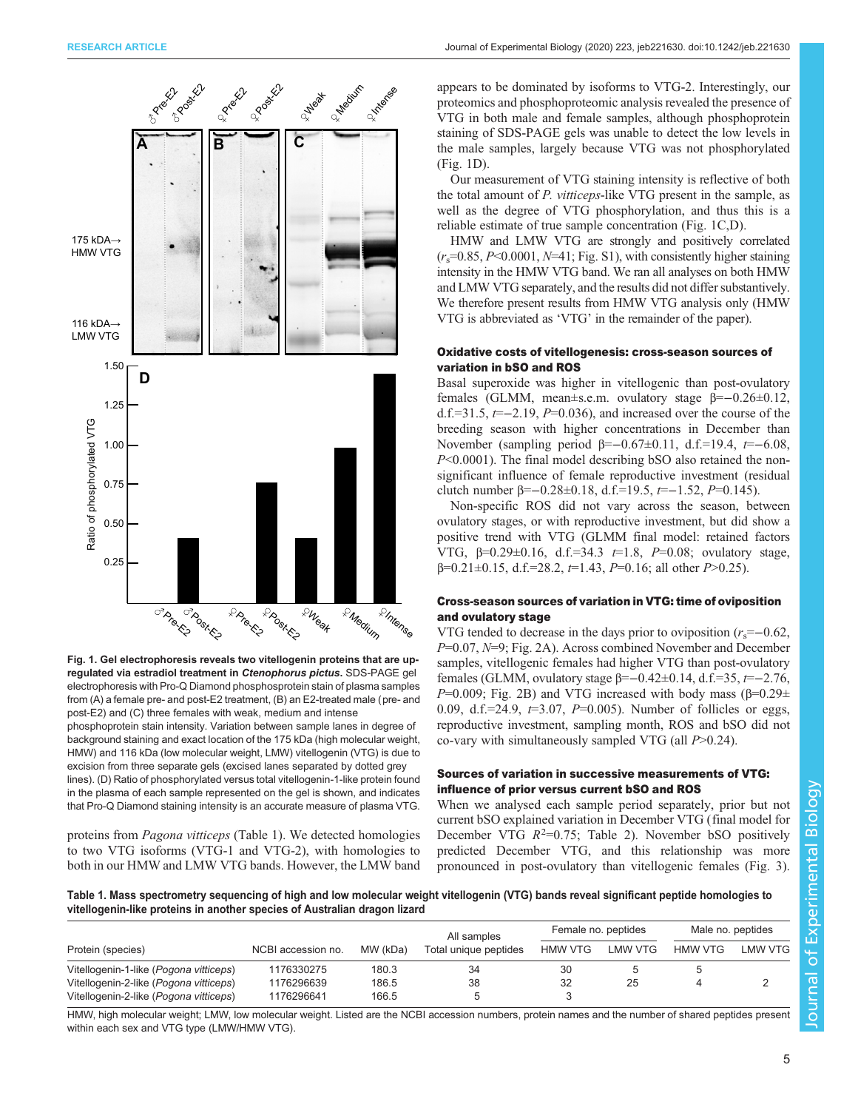<span id="page-4-0"></span>

Fig. 1. Gel electrophoresis reveals two vitellogenin proteins that are upregulated via estradiol treatment in Ctenophorus pictus. SDS-PAGE gel electrophoresis with Pro-Q Diamond phosphosprotein stain of plasma samples from (A) a female pre- and post-E2 treatment, (B) an E2-treated male (pre- and post-E2) and (C) three females with weak, medium and intense

phosphoprotein stain intensity. Variation between sample lanes in degree of background staining and exact location of the 175 kDa (high molecular weight, HMW) and 116 kDa (low molecular weight, LMW) vitellogenin (VTG) is due to excision from three separate gels (excised lanes separated by dotted grey lines). (D) Ratio of phosphorylated versus total vitellogenin-1-like protein found in the plasma of each sample represented on the gel is shown, and indicates that Pro-Q Diamond staining intensity is an accurate measure of plasma VTG.

proteins from Pagona vitticeps (Table 1). We detected homologies to two VTG isoforms (VTG-1 and VTG-2), with homologies to both in our HMW and LMW VTG bands. However, the LMW band

appears to be dominated by isoforms to VTG-2. Interestingly, our proteomics and phosphoproteomic analysis revealed the presence of VTG in both male and female samples, although phosphoprotein staining of SDS-PAGE gels was unable to detect the low levels in the male samples, largely because VTG was not phosphorylated (Fig. 1D).

Our measurement of VTG staining intensity is reflective of both the total amount of P. vitticeps-like VTG present in the sample, as well as the degree of VTG phosphorylation, and thus this is a reliable estimate of true sample concentration (Fig. 1C,D).

HMW and LMW VTG are strongly and positively correlated  $(r<sub>s</sub>=0.85, P<0.0001, N=41; Fig. S1)$  $(r<sub>s</sub>=0.85, P<0.0001, N=41; Fig. S1)$  $(r<sub>s</sub>=0.85, P<0.0001, N=41; Fig. S1)$ , with consistently higher staining intensity in the HMW VTG band. We ran all analyses on both HMW and LMW VTG separately, and the results did not differ substantively. We therefore present results from HMW VTG analysis only (HMW VTG is abbreviated as 'VTG' in the remainder of the paper).

# Oxidative costs of vitellogenesis: cross-season sources of variation in bSO and ROS

Basal superoxide was higher in vitellogenic than post-ovulatory females (GLMM, mean±s.e.m. ovulatory stage β=−0.26±0.12, d.f.=31.5,  $t=-2.19$ ,  $P=0.036$ ), and increased over the course of the breeding season with higher concentrations in December than November (sampling period β=-0.67±0.11, d.f.=19.4,  $t=-6.08$ , P<0.0001). The final model describing bSO also retained the nonsignificant influence of female reproductive investment (residual clutch number β=–0.28±0.18, d.f.=19.5,  $t=-1.52$ ,  $P=0.145$ ).

Non-specific ROS did not vary across the season, between ovulatory stages, or with reproductive investment, but did show a positive trend with VTG (GLMM final model: retained factors VTG,  $β=0.29±0.16$ , d.f.=34.3  $t=1.8$ ,  $P=0.08$ ; ovulatory stage,  $β=0.21±0.15$ , d.f.=28.2,  $t=1.43$ ,  $P=0.16$ ; all other  $P>0.25$ ).

# Cross-season sources of variation in VTG: time of oviposition and ovulatory stage

VTG tended to decrease in the days prior to oviposition  $(r_s=-0.62,$  $P=0.07$ ,  $N=9$ ; [Fig. 2A](#page-5-0)). Across combined November and December samples, vitellogenic females had higher VTG than post-ovulatory females (GLMM, ovulatory stage β=−0.42±0.14, d.f.=35, t=−2.76, P=0.009; [Fig. 2](#page-5-0)B) and VTG increased with body mass (β=0.29 $\pm$ 0.09, d.f.=24.9,  $t=3.07$ ,  $P=0.005$ ). Number of follicles or eggs, reproductive investment, sampling month, ROS and bSO did not co-vary with simultaneously sampled VTG (all P>0.24).

# Sources of variation in successive measurements of VTG: influence of prior versus current bSO and ROS

When we analysed each sample period separately, prior but not current bSO explained variation in December VTG (final model for December VTG  $R^2=0.75$ ; [Table 2](#page-6-0)). November bSO positively predicted December VTG, and this relationship was more pronounced in post-ovulatory than vitellogenic females ([Fig. 3\)](#page-6-0).

Table 1. Mass spectrometry sequencing of high and low molecular weight vitellogenin (VTG) bands reveal significant peptide homologies to vitellogenin-like proteins in another species of Australian dragon lizard

|                                        |                    |          | All samples           | Female no. peptides |         | Male no. peptides |         |
|----------------------------------------|--------------------|----------|-----------------------|---------------------|---------|-------------------|---------|
| Protein (species)                      | NCBI accession no. | MW (kDa) | Total unique peptides | <b>HMW VTG</b>      | LMW VTG | <b>HMW VTG</b>    | LMW VTG |
| Vitellogenin-1-like (Pogona vitticeps) | 1176330275         | 180.3    | 34                    | 30                  |         |                   |         |
| Vitellogenin-2-like (Pogona vitticeps) | 1176296639         | 186.5    | 38                    | 32                  | 25      |                   |         |
| Vitellogenin-2-like (Pogona vitticeps) | 1176296641         | 166.5    | b                     |                     |         |                   |         |

HMW, high molecular weight; LMW, low molecular weight. Listed are the NCBI accession numbers, protein names and the number of shared peptides present within each sex and VTG type (LMW/HMW VTG).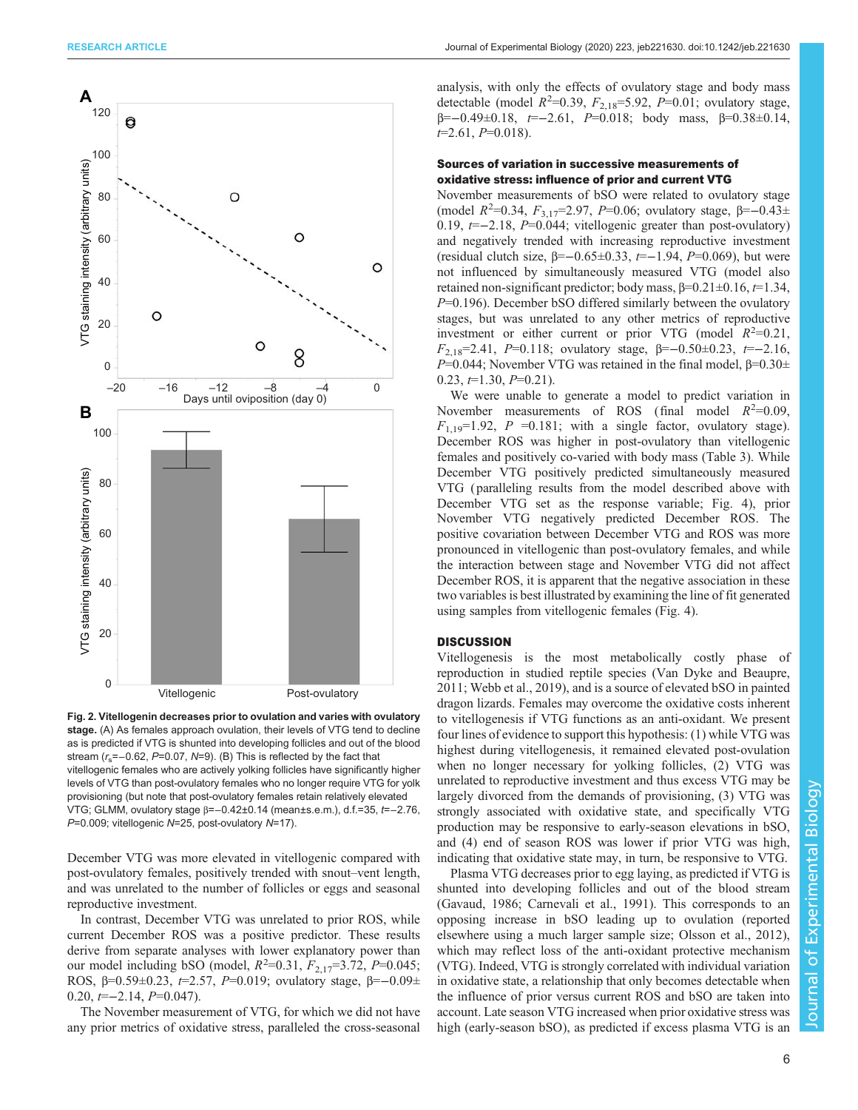<span id="page-5-0"></span>

Fig. 2. Vitellogenin decreases prior to ovulation and varies with ovulatory stage. (A) As females approach ovulation, their levels of VTG tend to decline as is predicted if VTG is shunted into developing follicles and out of the blood stream ( $r_s$ =−0.62, P=0.07, N=9). (B) This is reflected by the fact that vitellogenic females who are actively yolking follicles have significantly higher levels of VTG than post-ovulatory females who no longer require VTG for yolk provisioning (but note that post-ovulatory females retain relatively elevated VTG; GLMM, ovulatory stage β=−0.42±0.14 (mean±s.e.m.), d.f.=35, t=−2.76, P=0.009; vitellogenic N=25, post-ovulatory N=17).

December VTG was more elevated in vitellogenic compared with post-ovulatory females, positively trended with snout–vent length, and was unrelated to the number of follicles or eggs and seasonal reproductive investment.

In contrast, December VTG was unrelated to prior ROS, while current December ROS was a positive predictor. These results derive from separate analyses with lower explanatory power than our model including bSO (model,  $R^2$ =0.31,  $F_{2,17}$ =3.72,  $P$ =0.045; ROS,  $β=0.59±0.23$ ,  $t=2.57$ ,  $P=0.019$ ; ovulatory stage,  $β=-0.09±$  $0.20, t=-2.14, P=0.047$ ).

The November measurement of VTG, for which we did not have any prior metrics of oxidative stress, paralleled the cross-seasonal

analysis, with only the effects of ovulatory stage and body mass detectable (model  $R^2=0.39$ ,  $F_{2,18}=5.92$ ,  $P=0.01$ ; ovulatory stage,  $\beta = -0.49 \pm 0.18$ ,  $\tau = -2.61$ ,  $P = 0.018$ ; body mass,  $\beta = 0.38 \pm 0.14$ ,  $t=2.61, P=0.018$ .

# Sources of variation in successive measurements of oxidative stress: influence of prior and current VTG

November measurements of bSO were related to ovulatory stage (model  $R^2=0.34$ ,  $F_{3,17}=2.97$ ,  $P=0.06$ ; ovulatory stage,  $\beta=-0.43\pm$ 0.19,  $t=-2.18$ ,  $P=0.044$ ; vitellogenic greater than post-ovulatory) and negatively trended with increasing reproductive investment (residual clutch size, β=−0.65±0.33, t=−1.94, P=0.069), but were not influenced by simultaneously measured VTG (model also retained non-significant predictor; body mass,  $\beta$ =0.21±0.16,  $\tau$ =1.34,  $P=0.196$ ). December bSO differed similarly between the ovulatory stages, but was unrelated to any other metrics of reproductive investment or either current or prior VTG (model  $R^2=0.21$ ,  $F_{2,18}=2.41$ , P=0.118; ovulatory stage, β=-0.50±0.23, t=-2.16, P=0.044; November VTG was retained in the final model,  $β=0.30±$  $0.23, t=1.30, P=0.21$ ).

We were unable to generate a model to predict variation in November measurements of ROS (final model  $R^2=0.09$ ,  $F_{1,19}=1.92$ ,  $P = 0.181$ ; with a single factor, ovulatory stage). December ROS was higher in post-ovulatory than vitellogenic females and positively co-varied with body mass [\(Table 3\)](#page-7-0). While December VTG positively predicted simultaneously measured VTG ( paralleling results from the model described above with December VTG set as the response variable; [Fig. 4](#page-7-0)), prior November VTG negatively predicted December ROS. The positive covariation between December VTG and ROS was more pronounced in vitellogenic than post-ovulatory females, and while the interaction between stage and November VTG did not affect December ROS, it is apparent that the negative association in these two variables is best illustrated by examining the line of fit generated using samples from vitellogenic females ([Fig. 4](#page-7-0)).

## **DISCUSSION**

Vitellogenesis is the most metabolically costly phase of reproduction in studied reptile species ([Van Dyke and Beaupre,](#page-9-0) [2011; Webb et al., 2019](#page-9-0)), and is a source of elevated bSO in painted dragon lizards. Females may overcome the oxidative costs inherent to vitellogenesis if VTG functions as an anti-oxidant. We present four lines of evidence to support this hypothesis: (1) while VTG was highest during vitellogenesis, it remained elevated post-ovulation when no longer necessary for yolking follicles, (2) VTG was unrelated to reproductive investment and thus excess VTG may be largely divorced from the demands of provisioning, (3) VTG was strongly associated with oxidative state, and specifically VTG production may be responsive to early-season elevations in bSO, and (4) end of season ROS was lower if prior VTG was high, indicating that oxidative state may, in turn, be responsive to VTG.

Plasma VTG decreases prior to egg laying, as predicted if VTG is shunted into developing follicles and out of the blood stream [\(Gavaud, 1986; Carnevali et al., 1991](#page-8-0)). This corresponds to an opposing increase in bSO leading up to ovulation (reported elsewhere using a much larger sample size; [Olsson et al., 2012\)](#page-9-0), which may reflect loss of the anti-oxidant protective mechanism (VTG). Indeed, VTG is strongly correlated with individual variation in oxidative state, a relationship that only becomes detectable when the influence of prior versus current ROS and bSO are taken into account. Late season VTG increased when prior oxidative stress was high (early-season bSO), as predicted if excess plasma VTG is an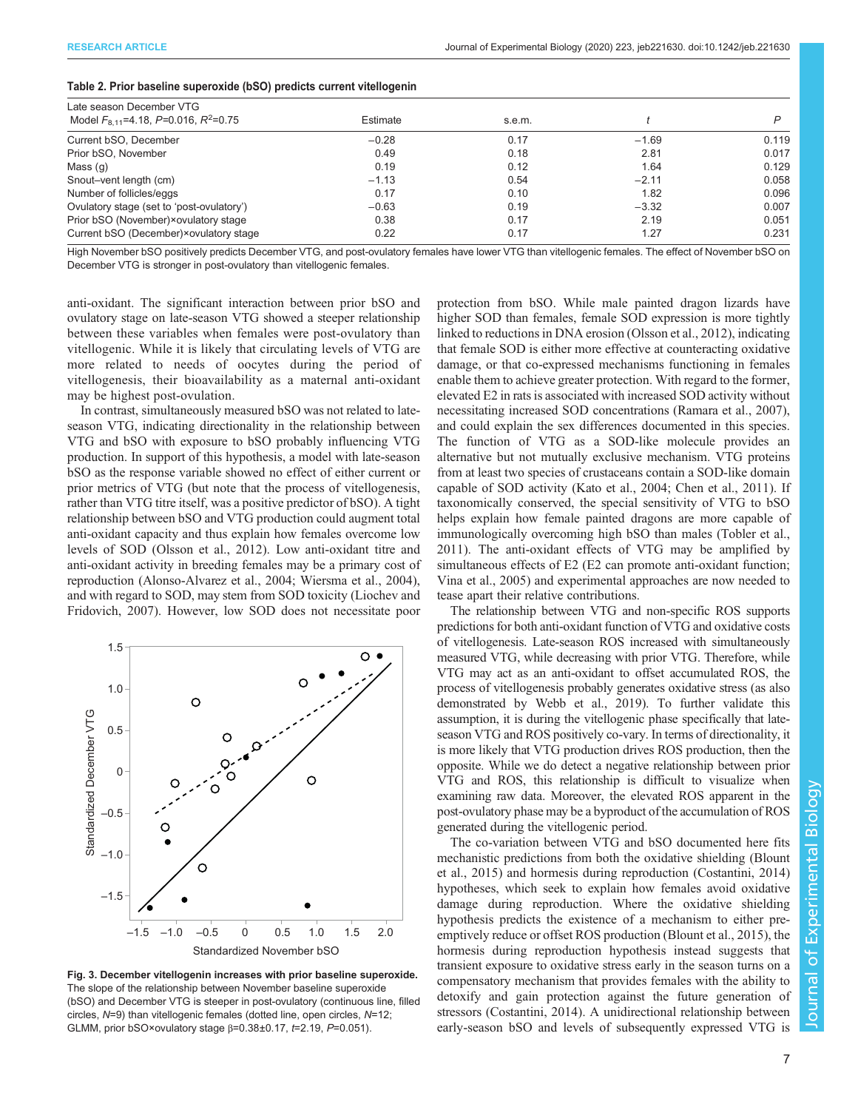<span id="page-6-0"></span>

| Table 2. Prior baseline superoxide (bSO) predicts current vitellogenin |  |  |
|------------------------------------------------------------------------|--|--|
|------------------------------------------------------------------------|--|--|

| Late season December VTG                              |          |        |         |       |  |  |  |  |  |
|-------------------------------------------------------|----------|--------|---------|-------|--|--|--|--|--|
| Model $F_{8.11}$ =4.18, P=0.016, R <sup>2</sup> =0.75 | Estimate | s.e.m. |         | D     |  |  |  |  |  |
| Current bSO, December                                 | $-0.28$  | 0.17   | $-1.69$ | 0.119 |  |  |  |  |  |
| Prior bSO, November                                   | 0.49     | 0.18   | 2.81    | 0.017 |  |  |  |  |  |
| Mass $(q)$                                            | 0.19     | 0.12   | 1.64    | 0.129 |  |  |  |  |  |
| Snout-vent length (cm)                                | $-1.13$  | 0.54   | $-2.11$ | 0.058 |  |  |  |  |  |
| Number of follicles/eggs                              | 0.17     | 0.10   | 1.82    | 0.096 |  |  |  |  |  |
| Ovulatory stage (set to 'post-ovulatory')             | $-0.63$  | 0.19   | $-3.32$ | 0.007 |  |  |  |  |  |
| Prior bSO (November)×ovulatory stage                  | 0.38     | 0.17   | 2.19    | 0.051 |  |  |  |  |  |
| Current bSO (December)×ovulatory stage                | 0.22     | 0.17   | 1.27    | 0.231 |  |  |  |  |  |

High November bSO positively predicts December VTG, and post-ovulatory females have lower VTG than vitellogenic females. The effect of November bSO on December VTG is stronger in post-ovulatory than vitellogenic females.

anti-oxidant. The significant interaction between prior bSO and ovulatory stage on late-season VTG showed a steeper relationship between these variables when females were post-ovulatory than vitellogenic. While it is likely that circulating levels of VTG are more related to needs of oocytes during the period of vitellogenesis, their bioavailability as a maternal anti-oxidant may be highest post-ovulation.

In contrast, simultaneously measured bSO was not related to lateseason VTG, indicating directionality in the relationship between VTG and bSO with exposure to bSO probably influencing VTG production. In support of this hypothesis, a model with late-season bSO as the response variable showed no effect of either current or prior metrics of VTG (but note that the process of vitellogenesis, rather than VTG titre itself, was a positive predictor of bSO). A tight relationship between bSO and VTG production could augment total anti-oxidant capacity and thus explain how females overcome low levels of SOD ([Olsson et al., 2012](#page-9-0)). Low anti-oxidant titre and anti-oxidant activity in breeding females may be a primary cost of reproduction ([Alonso-Alvarez et al., 2004;](#page-8-0) [Wiersma et al., 2004\)](#page-9-0), and with regard to SOD, may stem from SOD toxicity [\(Liochev and](#page-9-0) [Fridovich, 2007\)](#page-9-0). However, low SOD does not necessitate poor



Fig. 3. December vitellogenin increases with prior baseline superoxide. The slope of the relationship between November baseline superoxide (bSO) and December VTG is steeper in post-ovulatory (continuous line, filled circles, N=9) than vitellogenic females (dotted line, open circles, N=12; GLMM, prior bSO×ovulatory stage  $\beta$ =0.38±0.17, t=2.19, P=0.051).

protection from bSO. While male painted dragon lizards have higher SOD than females, female SOD expression is more tightly linked to reductions in DNA erosion ([Olsson et al., 2012](#page-9-0)), indicating that female SOD is either more effective at counteracting oxidative damage, or that co-expressed mechanisms functioning in females enable them to achieve greater protection. With regard to the former, elevated E2 in rats is associated with increased SOD activity without necessitating increased SOD concentrations ([Ramara et al., 2007\)](#page-9-0), and could explain the sex differences documented in this species. The function of VTG as a SOD-like molecule provides an alternative but not mutually exclusive mechanism. VTG proteins from at least two species of crustaceans contain a SOD-like domain capable of SOD activity [\(Kato et al., 2004](#page-8-0); [Chen et al., 2011](#page-8-0)). If taxonomically conserved, the special sensitivity of VTG to bSO helps explain how female painted dragons are more capable of immunologically overcoming high bSO than males ([Tobler et al.,](#page-9-0) [2011\)](#page-9-0). The anti-oxidant effects of VTG may be amplified by simultaneous effects of E2 (E2 can promote anti-oxidant function; [Vina et al., 2005\)](#page-9-0) and experimental approaches are now needed to tease apart their relative contributions.

The relationship between VTG and non-specific ROS supports predictions for both anti-oxidant function of VTG and oxidative costs of vitellogenesis. Late-season ROS increased with simultaneously measured VTG, while decreasing with prior VTG. Therefore, while VTG may act as an anti-oxidant to offset accumulated ROS, the process of vitellogenesis probably generates oxidative stress (as also demonstrated by [Webb et al., 2019](#page-9-0)). To further validate this assumption, it is during the vitellogenic phase specifically that lateseason VTG and ROS positively co-vary. In terms of directionality, it is more likely that VTG production drives ROS production, then the opposite. While we do detect a negative relationship between prior VTG and ROS, this relationship is difficult to visualize when examining raw data. Moreover, the elevated ROS apparent in the post-ovulatory phase may be a byproduct of the accumulation of ROS generated during the vitellogenic period.

The co-variation between VTG and bSO documented here fits mechanistic predictions from both the oxidative shielding [\(Blount](#page-8-0) [et al., 2015\)](#page-8-0) and hormesis during reproduction ([Costantini, 2014\)](#page-8-0) hypotheses, which seek to explain how females avoid oxidative damage during reproduction. Where the oxidative shielding hypothesis predicts the existence of a mechanism to either preemptively reduce or offset ROS production ([Blount et al., 2015](#page-8-0)), the hormesis during reproduction hypothesis instead suggests that transient exposure to oxidative stress early in the season turns on a compensatory mechanism that provides females with the ability to detoxify and gain protection against the future generation of stressors ([Costantini, 2014\)](#page-8-0). A unidirectional relationship between early-season bSO and levels of subsequently expressed VTG is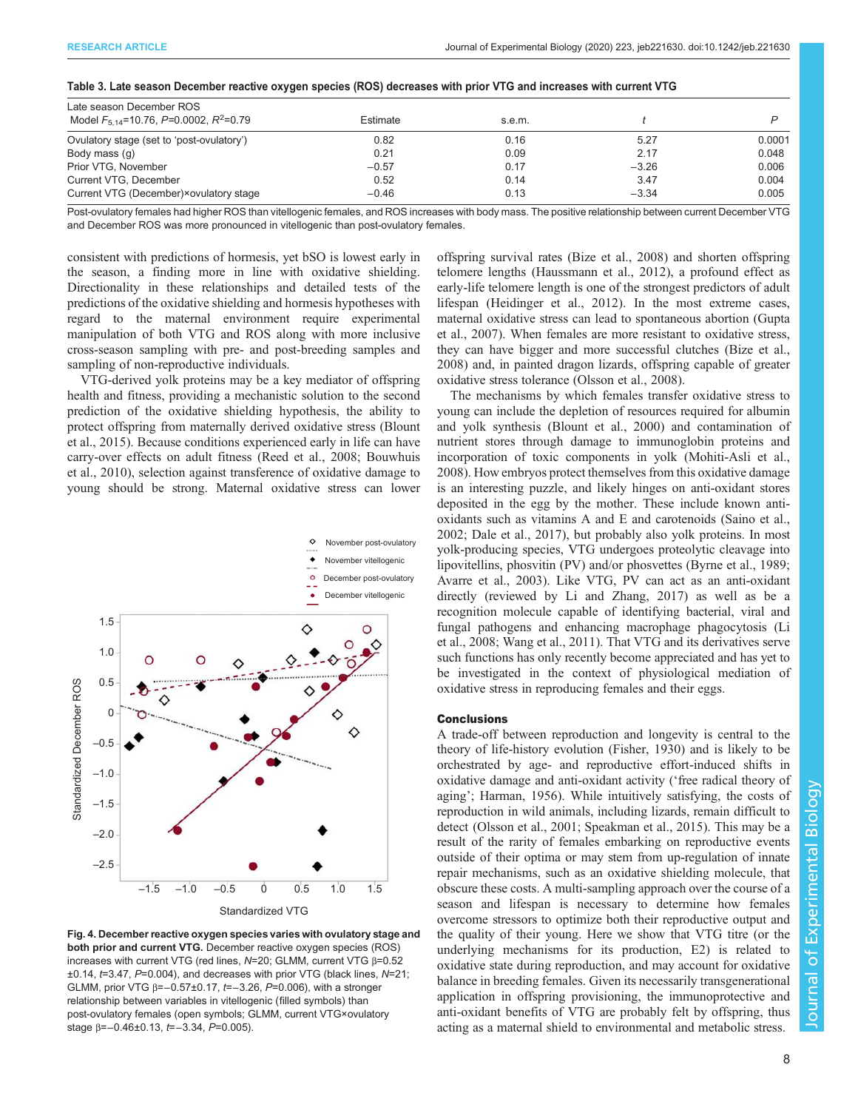<span id="page-7-0"></span>

|  |  |  |  | Table 3. Late season December reactive oxygen species (ROS) decreases with prior VTG and increases with current VTG |
|--|--|--|--|---------------------------------------------------------------------------------------------------------------------|
|  |  |  |  |                                                                                                                     |

| Late season December ROS                                |          |        |         |        |  |  |  |
|---------------------------------------------------------|----------|--------|---------|--------|--|--|--|
| Model $F_{5,14}$ =10.76, P=0.0002, R <sup>2</sup> =0.79 | Estimate | s.e.m. |         |        |  |  |  |
| Ovulatory stage (set to 'post-ovulatory')               | 0.82     | 0.16   | 5.27    | 0.0001 |  |  |  |
| Body mass (g)                                           | 0.21     | 0.09   | 2.17    | 0.048  |  |  |  |
| Prior VTG, November                                     | $-0.57$  | 0.17   | $-3.26$ | 0.006  |  |  |  |
| Current VTG, December                                   | 0.52     | 0.14   | 3.47    | 0.004  |  |  |  |
| Current VTG (December) × ovulatory stage                | $-0.46$  | 0.13   | $-3.34$ | 0.005  |  |  |  |

Post-ovulatory females had higher ROS than vitellogenic females, and ROS increases with body mass. The positive relationship between current December VTG and December ROS was more pronounced in vitellogenic than post-ovulatory females.

consistent with predictions of hormesis, yet bSO is lowest early in the season, a finding more in line with oxidative shielding. Directionality in these relationships and detailed tests of the predictions of the oxidative shielding and hormesis hypotheses with regard to the maternal environment require experimental manipulation of both VTG and ROS along with more inclusive cross-season sampling with pre- and post-breeding samples and sampling of non-reproductive individuals.

VTG-derived yolk proteins may be a key mediator of offspring health and fitness, providing a mechanistic solution to the second prediction of the oxidative shielding hypothesis, the ability to protect offspring from maternally derived oxidative stress [\(Blount](#page-8-0) [et al., 2015](#page-8-0)). Because conditions experienced early in life can have carry-over effects on adult fitness ([Reed et al., 2008](#page-9-0); [Bouwhuis](#page-8-0) [et al., 2010\)](#page-8-0), selection against transference of oxidative damage to young should be strong. Maternal oxidative stress can lower



Fig. 4. December reactive oxygen species varies with ovulatory stage and both prior and current VTG. December reactive oxygen species (ROS) increases with current VTG (red lines, N=20; GLMM, current VTG β=0.52  $\pm 0.14$ ,  $t=3.47$ ,  $P=0.004$ ), and decreases with prior VTG (black lines,  $N=21$ ; GLMM, prior VTG β=−0.57±0.17, t=−3.26, P=0.006), with a stronger relationship between variables in vitellogenic (filled symbols) than post-ovulatory females (open symbols; GLMM, current VTG×ovulatory stage β=–0.46±0.13, *t*=–3.34, *P*=0.005).

offspring survival rates [\(Bize et al., 2008\)](#page-8-0) and shorten offspring telomere lengths ([Haussmann et al., 2012](#page-8-0)), a profound effect as early-life telomere length is one of the strongest predictors of adult lifespan [\(Heidinger et al., 2012\)](#page-8-0). In the most extreme cases, maternal oxidative stress can lead to spontaneous abortion ([Gupta](#page-8-0) [et al., 2007\)](#page-8-0). When females are more resistant to oxidative stress, they can have bigger and more successful clutches [\(Bize et al.,](#page-8-0) [2008\)](#page-8-0) and, in painted dragon lizards, offspring capable of greater oxidative stress tolerance [\(Olsson et al., 2008\)](#page-9-0).

The mechanisms by which females transfer oxidative stress to young can include the depletion of resources required for albumin and yolk synthesis [\(Blount et al., 2000](#page-8-0)) and contamination of nutrient stores through damage to immunoglobin proteins and incorporation of toxic components in yolk [\(Mohiti-Asli et al.,](#page-9-0) [2008\)](#page-9-0). How embryos protect themselves from this oxidative damage is an interesting puzzle, and likely hinges on anti-oxidant stores deposited in the egg by the mother. These include known antioxidants such as vitamins A and E and carotenoids ([Saino et al.,](#page-9-0) [2002;](#page-9-0) [Dale et al., 2017](#page-8-0)), but probably also yolk proteins. In most yolk-producing species, VTG undergoes proteolytic cleavage into lipovitellins, phosvitin (PV) and/or phosvettes ([Byrne et al., 1989](#page-8-0); [Avarre et al., 2003](#page-8-0)). Like VTG, PV can act as an anti-oxidant directly (reviewed by [Li and Zhang, 2017](#page-9-0)) as well as be a recognition molecule capable of identifying bacterial, viral and fungal pathogens and enhancing macrophage phagocytosis ([Li](#page-9-0) [et al., 2008; Wang et al., 2011](#page-9-0)). That VTG and its derivatives serve such functions has only recently become appreciated and has yet to be investigated in the context of physiological mediation of oxidative stress in reproducing females and their eggs.

# **Conclusions**

A trade-off between reproduction and longevity is central to the theory of life-history evolution ([Fisher, 1930\)](#page-8-0) and is likely to be orchestrated by age- and reproductive effort-induced shifts in oxidative damage and anti-oxidant activity ('free radical theory of aging'; [Harman, 1956\)](#page-8-0). While intuitively satisfying, the costs of reproduction in wild animals, including lizards, remain difficult to detect ([Olsson et al., 2001](#page-9-0); [Speakman et al., 2015\)](#page-9-0). This may be a result of the rarity of females embarking on reproductive events outside of their optima or may stem from up-regulation of innate repair mechanisms, such as an oxidative shielding molecule, that obscure these costs. A multi-sampling approach over the course of a season and lifespan is necessary to determine how females overcome stressors to optimize both their reproductive output and the quality of their young. Here we show that VTG titre (or the underlying mechanisms for its production, E2) is related to oxidative state during reproduction, and may account for oxidative balance in breeding females. Given its necessarily transgenerational application in offspring provisioning, the immunoprotective and anti-oxidant benefits of VTG are probably felt by offspring, thus acting as a maternal shield to environmental and metabolic stress.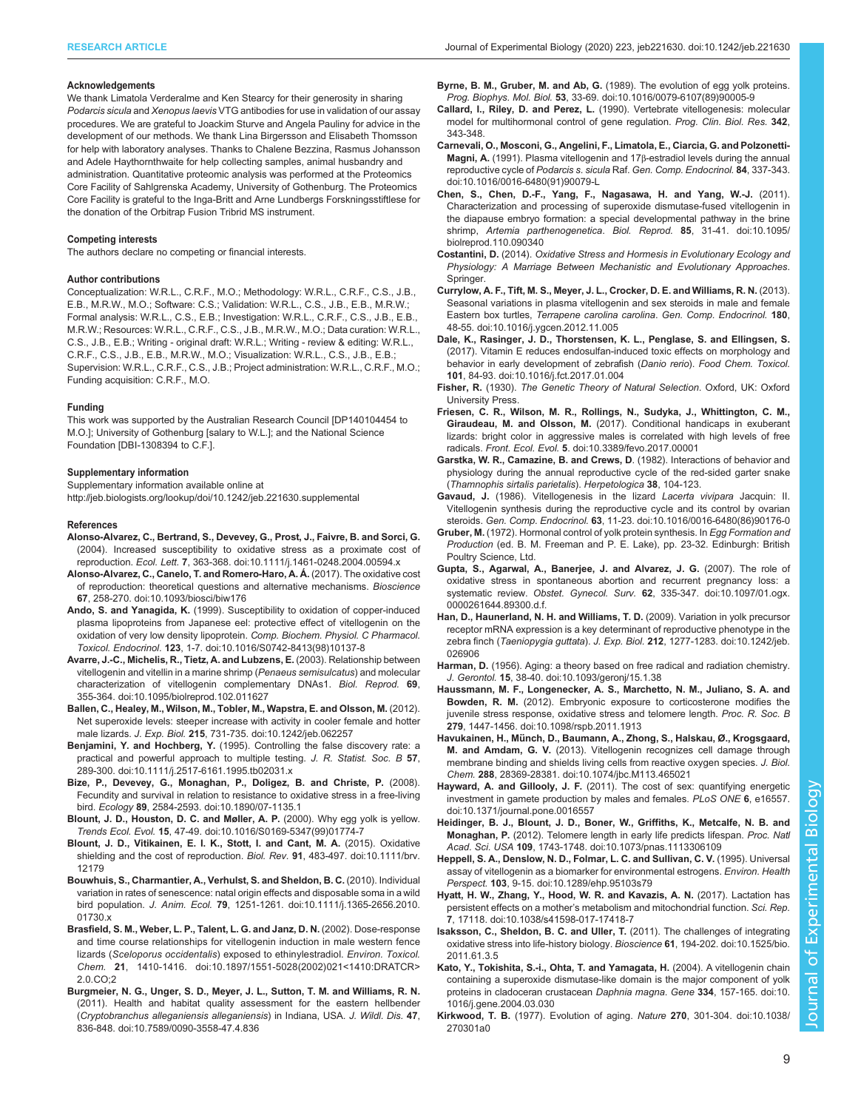#### <span id="page-8-0"></span>Acknowledgements

We thank Limatola Verderalme and Ken Stearcy for their generosity in sharing Podarcis sicula and Xenopus laevis VTG antibodies for use in validation of our assay procedures. We are grateful to Joackim Sturve and Angela Pauliny for advice in the development of our methods. We thank Lina Birgersson and Elisabeth Thomsson for help with laboratory analyses. Thanks to Chalene Bezzina, Rasmus Johansson and Adele Haythornthwaite for help collecting samples, animal husbandry and administration. Quantitative proteomic analysis was performed at the Proteomics Core Facility of Sahlgrenska Academy, University of Gothenburg. The Proteomics Core Facility is grateful to the Inga-Britt and Arne Lundbergs Forskningsstiftlese for the donation of the Orbitrap Fusion Tribrid MS instrument.

#### Competing interests

The authors declare no competing or financial interests.

#### Author contributions

Conceptualization: W.R.L., C.R.F., M.O.; Methodology: W.R.L., C.R.F., C.S., J.B., E.B., M.R.W., M.O.; Software: C.S.; Validation: W.R.L., C.S., J.B., E.B., M.R.W.; Formal analysis: W.R.L., C.S., E.B.; Investigation: W.R.L., C.R.F., C.S., J.B., E.B., M.R.W.; Resources: W.R.L., C.R.F., C.S., J.B., M.R.W., M.O.; Data curation: W.R.L., C.S., J.B., E.B.; Writing - original draft: W.R.L.; Writing - review & editing: W.R.L., C.R.F., C.S., J.B., E.B., M.R.W., M.O.; Visualization: W.R.L., C.S., J.B., E.B.; Supervision: W.R.L., C.R.F., C.S., J.B.; Project administration: W.R.L., C.R.F., M.O.; Funding acquisition: C.R.F., M.O.

#### Funding

This work was supported by the Australian Research Council [DP140104454 to M.O.]; University of Gothenburg [salary to W.L.]; and the National Science Foundation [DBI-1308394 to C.F.].

#### Supplementary information

Supplementary information available online at <http://jeb.biologists.org/lookup/doi/10.1242/jeb.221630.supplemental>

#### References

- [Alonso-Alvarez, C., Bertrand, S., Devevey, G., Prost, J., Faivre, B. and Sorci, G.](https://doi.org/10.1111/j.1461-0248.2004.00594.x) [\(2004\). Increased susceptibility to oxidative stress as a proximate cost of](https://doi.org/10.1111/j.1461-0248.2004.00594.x) reproduction. Ecol. Lett. 7[, 363-368. doi:10.1111/j.1461-0248.2004.00594.x](https://doi.org/10.1111/j.1461-0248.2004.00594.x)
- [Alonso-Alvarez, C., Canelo, T. and Romero-Haro, A. Á.](https://doi.org/10.1093/biosci/biw176) (2017). The oxidative cost [of reproduction: theoretical questions and alternative mechanisms.](https://doi.org/10.1093/biosci/biw176) Bioscience 67[, 258-270. doi:10.1093/biosci/biw176](https://doi.org/10.1093/biosci/biw176)
- Ando, S. and Yanagida, K. [\(1999\). Susceptibility to oxidation of copper-induced](https://doi.org/10.1016/S0742-8413(98)10137-8) [plasma lipoproteins from Japanese eel: protective effect of vitellogenin on the](https://doi.org/10.1016/S0742-8413(98)10137-8) [oxidation of very low density lipoprotein.](https://doi.org/10.1016/S0742-8413(98)10137-8) Comp. Biochem. Physiol. C Pharmacol. Toxicol. Endocrinol. 123[, 1-7. doi:10.1016/S0742-8413\(98\)10137-8](https://doi.org/10.1016/S0742-8413(98)10137-8)
- [Avarre, J.-C., Michelis, R., Tietz, A. and Lubzens, E.](https://doi.org/10.1095/biolreprod.102.011627) (2003). Relationship between [vitellogenin and vitellin in a marine shrimp \(](https://doi.org/10.1095/biolreprod.102.011627)Penaeus semisulcatus) and molecular [characterization of vitellogenin complementary DNAs1.](https://doi.org/10.1095/biolreprod.102.011627) Biol. Reprod. 69, [355-364. doi:10.1095/biolreprod.102.011627](https://doi.org/10.1095/biolreprod.102.011627)
- [Ballen, C., Healey, M., Wilson, M., Tobler, M., Wapstra, E. and Olsson, M.](https://doi.org/10.1242/jeb.062257) (2012). [Net superoxide levels: steeper increase with activity in cooler female and hotter](https://doi.org/10.1242/jeb.062257) male lizards. J. Exp. Biol. 215[, 731-735. doi:10.1242/jeb.062257](https://doi.org/10.1242/jeb.062257)
- Benjamini, Y. and Hochberg, Y. [\(1995\). Controlling the false discovery rate: a](https://doi.org/10.1111/j.2517-6161.1995.tb02031.x) [practical and powerful approach to multiple testing.](https://doi.org/10.1111/j.2517-6161.1995.tb02031.x) J. R. Statist. Soc. B 57, [289-300. doi:10.1111/j.2517-6161.1995.tb02031.x](https://doi.org/10.1111/j.2517-6161.1995.tb02031.x)
- [Bize, P., Devevey, G., Monaghan, P., Doligez, B. and Christe, P.](https://doi.org/10.1890/07-1135.1) (2008). [Fecundity and survival in relation to resistance to oxidative stress in a free-living](https://doi.org/10.1890/07-1135.1) bird. Ecology 89[, 2584-2593. doi:10.1890/07-1135.1](https://doi.org/10.1890/07-1135.1)
- [Blount, J. D., Houston, D. C. and Møller, A. P.](https://doi.org/10.1016/S0169-5347(99)01774-7) (2000). Why egg yolk is yellow. Trends Ecol. Evol. 15[, 47-49. doi:10.1016/S0169-5347\(99\)01774-7](https://doi.org/10.1016/S0169-5347(99)01774-7)
- [Blount, J. D., Vitikainen, E. I. K., Stott, I. and Cant, M. A.](https://doi.org/10.1111/brv.12179) (2015). Oxidative [shielding and the cost of reproduction.](https://doi.org/10.1111/brv.12179) Biol. Rev. 91, 483-497. doi:10.1111/brv. [12179](https://doi.org/10.1111/brv.12179)
- [Bouwhuis, S., Charmantier, A., Verhulst, S. and Sheldon, B. C.](https://doi.org/10.1111/j.1365-2656.2010.01730.x) (2010). Individual [variation in rates of senescence: natal origin effects and disposable soma in a wild](https://doi.org/10.1111/j.1365-2656.2010.01730.x) bird population. J. Anim. Ecol. 79[, 1251-1261. doi:10.1111/j.1365-2656.2010.](https://doi.org/10.1111/j.1365-2656.2010.01730.x) [01730.x](https://doi.org/10.1111/j.1365-2656.2010.01730.x)
- [Brasfield, S. M., Weber, L. P., Talent, L. G. and Janz, D. N.](https://doi.org/10.1897/1551-5028(2002)021%3C1410:DRATCR%3E2.0.CO;2) (2002). Dose-response [and time course relationships for vitellogenin induction in male western fence](https://doi.org/10.1897/1551-5028(2002)021%3C1410:DRATCR%3E2.0.CO;2) lizards (Sceloporus occidentalis[\) exposed to ethinylestradiol.](https://doi.org/10.1897/1551-5028(2002)021%3C1410:DRATCR%3E2.0.CO;2) Environ. Toxicol. Chem. 21[, 1410-1416. doi:10.1897/1551-5028\(2002\)021<1410:DRATCR>](https://doi.org/10.1897/1551-5028(2002)021%3C1410:DRATCR%3E2.0.CO;2) [2.0.CO;2](https://doi.org/10.1897/1551-5028(2002)021%3C1410:DRATCR%3E2.0.CO;2)
- [Burgmeier, N. G., Unger, S. D., Meyer, J. L., Sutton, T. M. and Williams, R. N.](https://doi.org/10.7589/0090-3558-47.4.836) [\(2011\). Health and habitat quality assessment for the eastern hellbender](https://doi.org/10.7589/0090-3558-47.4.836) ([Cryptobranchus alleganiensis alleganiensis](https://doi.org/10.7589/0090-3558-47.4.836)) in Indiana, USA. J. Wildl. Dis. 47, [836-848. doi:10.7589/0090-3558-47.4.836](https://doi.org/10.7589/0090-3558-47.4.836)
- Byrne, B. M., Gruber, M. and Ab, G. [\(1989\). The evolution of egg yolk proteins.](https://doi.org/10.1016/0079-6107(89)90005-9) Prog. Biophys. Mol. Biol. 53[, 33-69. doi:10.1016/0079-6107\(89\)90005-9](https://doi.org/10.1016/0079-6107(89)90005-9)
- Callard, I., Riley, D. and Perez, L. (1990). Vertebrate vitellogenesis: molecular model for multihormonal control of gene regulation. Prog. Clin. Biol. Res. 342, 343-348.
- [Carnevali, O., Mosconi, G., Angelini, F., Limatola, E., Ciarcia, G. and Polzonetti-](https://doi.org/10.1016/0016-6480(91)90079-L)Magni, A. [\(1991\). Plasma vitellogenin and 17](https://doi.org/10.1016/0016-6480(91)90079-L)β-estradiol levels during the annual reproductive cycle of Podarcis s. sicula Raf. [Gen. Comp. Endocrinol.](https://doi.org/10.1016/0016-6480(91)90079-L) 84, 337-343. [doi:10.1016/0016-6480\(91\)90079-L](https://doi.org/10.1016/0016-6480(91)90079-L)
- [Chen, S., Chen, D.-F., Yang, F., Nagasawa, H. and Yang, W.-J.](https://doi.org/10.1095/biolreprod.110.090340) (2011). [Characterization and processing of superoxide dismutase-fused vitellogenin in](https://doi.org/10.1095/biolreprod.110.090340) [the diapause embryo formation: a special developmental pathway in the brine](https://doi.org/10.1095/biolreprod.110.090340) shrimp, [Artemia parthenogenetica](https://doi.org/10.1095/biolreprod.110.090340). Biol. Reprod. 85, 31-41. doi:10.1095/ [biolreprod.110.090340](https://doi.org/10.1095/biolreprod.110.090340)
- Costantini, D. (2014). Oxidative Stress and Hormesis in Evolutionary Ecology and Physiology: A Marriage Between Mechanistic and Evolutionary Approaches. Springer.
- [Currylow, A. F., Tift, M. S., Meyer, J. L., Crocker, D. E. and Williams, R. N.](https://doi.org/10.1016/j.ygcen.2012.11.005) (2013). [Seasonal variations in plasma vitellogenin and sex steroids in male and female](https://doi.org/10.1016/j.ygcen.2012.11.005) Eastern box turtles, [Terrapene carolina carolina](https://doi.org/10.1016/j.ygcen.2012.11.005). Gen. Comp. Endocrinol. 180, [48-55. doi:10.1016/j.ygcen.2012.11.005](https://doi.org/10.1016/j.ygcen.2012.11.005)
- [Dale, K., Rasinger, J. D., Thorstensen, K. L., Penglase, S. and Ellingsen, S.](https://doi.org/10.1016/j.fct.2017.01.004) [\(2017\). Vitamin E reduces endosulfan-induced toxic effects on morphology and](https://doi.org/10.1016/j.fct.2017.01.004) [behavior in early development of zebrafish \(](https://doi.org/10.1016/j.fct.2017.01.004)Danio rerio). Food Chem. Toxicol. 101[, 84-93. doi:10.1016/j.fct.2017.01.004](https://doi.org/10.1016/j.fct.2017.01.004)
- Fisher, R. (1930). The Genetic Theory of Natural Selection. Oxford, UK: Oxford University Press.
- [Friesen, C. R., Wilson, M. R., Rollings, N., Sudyka, J., Whittington, C. M.,](https://doi.org/10.3389/fevo.2017.00001) Giraudeau, M. and Olsson, M. [\(2017\). Conditional handicaps in exuberant](https://doi.org/10.3389/fevo.2017.00001) [lizards: bright color in aggressive males is correlated with high levels of free](https://doi.org/10.3389/fevo.2017.00001) radicals. Front. Ecol. Evol. 5[. doi:10.3389/fevo.2017.00001](https://doi.org/10.3389/fevo.2017.00001)
- Garstka, W. R., Camazine, B. and Crews, D. (1982). Interactions of behavior and physiology during the annual reproductive cycle of the red-sided garter snake (Thamnophis sirtalis parietalis). Herpetologica 38, 104-123.
- Gavaud, J. [\(1986\). Vitellogenesis in the lizard](https://doi.org/10.1016/0016-6480(86)90176-0) Lacerta vivipara Jacquin: II. [Vitellogenin synthesis during the reproductive cycle and its control by ovarian](https://doi.org/10.1016/0016-6480(86)90176-0) steroids. Gen. Comp. Endocrinol. 63[, 11-23. doi:10.1016/0016-6480\(86\)90176-0](https://doi.org/10.1016/0016-6480(86)90176-0)
- Gruber, M. (1972). Hormonal control of yolk protein synthesis. In Egg Formation and Production (ed. B. M. Freeman and P. E. Lake), pp. 23-32. Edinburgh: British Poultry Science, Ltd.
- [Gupta, S., Agarwal, A., Banerjee, J. and Alvarez, J. G.](https://doi.org/10.1097/01.ogx.0000261644.89300.d.f.) (2007). The role of [oxidative stress in spontaneous abortion and recurrent pregnancy loss: a](https://doi.org/10.1097/01.ogx.0000261644.89300.d.f.) systematic review. Obstet. Gynecol. Surv. 62[, 335-347. doi:10.1097/01.ogx.](https://doi.org/10.1097/01.ogx.0000261644.89300.d.f.) [0000261644.89300.d.f.](https://doi.org/10.1097/01.ogx.0000261644.89300.d.f.)
- [Han, D., Haunerland, N. H. and Williams, T. D.](https://doi.org/10.1242/jeb.026906) (2009). Variation in yolk precursor [receptor mRNA expression is a key determinant of reproductive phenotype in the](https://doi.org/10.1242/jeb.026906) zebra finch (Taeniopygia guttata). J. Exp. Biol. 212[, 1277-1283. doi:10.1242/jeb.](https://doi.org/10.1242/jeb.026906) [026906](https://doi.org/10.1242/jeb.026906)
- Harman, D. [\(1956\). Aging: a theory based on free radical and radiation chemistry.](https://doi.org/10.1093/geronj/15.1.38) J. Gerontol. 15[, 38-40. doi:10.1093/geronj/15.1.38](https://doi.org/10.1093/geronj/15.1.38)
- [Haussmann, M. F., Longenecker, A. S., Marchetto, N. M., Juliano, S. A. and](https://doi.org/10.1098/rspb.2011.1913) Bowden, R. M. [\(2012\). Embryonic exposure to corticosterone modifies the](https://doi.org/10.1098/rspb.2011.1913) [juvenile stress response, oxidative stress and telomere length.](https://doi.org/10.1098/rspb.2011.1913) Proc. R. Soc. B 279[, 1447-1456. doi:10.1098/rspb.2011.1913](https://doi.org/10.1098/rspb.2011.1913)
- Havukainen, H., Mü[nch, D., Baumann, A., Zhong, S., Halskau, Ø., Krogsgaard,](https://doi.org/10.1074/jbc.M113.465021) M. and Amdam, G. V. [\(2013\). Vitellogenin recognizes cell damage through](https://doi.org/10.1074/jbc.M113.465021) [membrane binding and shields living cells from reactive oxygen species.](https://doi.org/10.1074/jbc.M113.465021) J. Biol. Chem. 288[, 28369-28381. doi:10.1074/jbc.M113.465021](https://doi.org/10.1074/jbc.M113.465021)
- Hayward, A. and Gillooly, J. F. [\(2011\). The cost of sex: quantifying energetic](https://doi.org/10.1371/journal.pone.0016557) [investment in gamete production by males and females.](https://doi.org/10.1371/journal.pone.0016557) PLoS ONE 6, e16557. [doi:10.1371/journal.pone.0016557](https://doi.org/10.1371/journal.pone.0016557)
- [Heidinger, B. J., Blount, J. D., Boner, W., Griffiths, K., Metcalfe, N. B. and](https://doi.org/10.1073/pnas.1113306109) Monaghan, P. [\(2012\). Telomere length in early life predicts lifespan.](https://doi.org/10.1073/pnas.1113306109) Proc. Natl Acad. Sci. USA 109[, 1743-1748. doi:10.1073/pnas.1113306109](https://doi.org/10.1073/pnas.1113306109)
- [Heppell, S. A., Denslow, N. D., Folmar, L. C. and Sullivan, C. V.](https://doi.org/10.1289/ehp.95103s79) (1995). Universal [assay of vitellogenin as a biomarker for environmental estrogens.](https://doi.org/10.1289/ehp.95103s79) Environ. Health Perspect. 103[, 9-15. doi:10.1289/ehp.95103s79](https://doi.org/10.1289/ehp.95103s79)
- [Hyatt, H. W., Zhang, Y., Hood, W. R. and Kavazis, A. N.](https://doi.org/10.1038/s41598-017-17418-7) (2017). Lactation has persistent effects on a mother'[s metabolism and mitochondrial function.](https://doi.org/10.1038/s41598-017-17418-7) Sci. Rep. 7[, 17118. doi:10.1038/s41598-017-17418-7](https://doi.org/10.1038/s41598-017-17418-7)
- [Isaksson, C., Sheldon, B. C. and Uller, T.](https://doi.org/10.1525/bio.2011.61.3.5) (2011). The challenges of integrating [oxidative stress into life-history biology.](https://doi.org/10.1525/bio.2011.61.3.5) Bioscience 61, 194-202. doi:10.1525/bio. [2011.61.3.5](https://doi.org/10.1525/bio.2011.61.3.5)
- [Kato, Y., Tokishita, S.-i., Ohta, T. and Yamagata, H.](https://doi.org/10.1016/j.gene.2004.03.030) (2004). A vitellogenin chain [containing a superoxide dismutase-like domain is the major component of yolk](https://doi.org/10.1016/j.gene.2004.03.030) [proteins in cladoceran crustacean](https://doi.org/10.1016/j.gene.2004.03.030) Daphnia magna. Gene 334, 157-165. doi:10. [1016/j.gene.2004.03.030](https://doi.org/10.1016/j.gene.2004.03.030)
- Kirkwood, T. B. [\(1977\). Evolution of aging.](https://doi.org/10.1038/270301a0) Nature 270, 301-304. doi:10.1038/ [270301a0](https://doi.org/10.1038/270301a0)